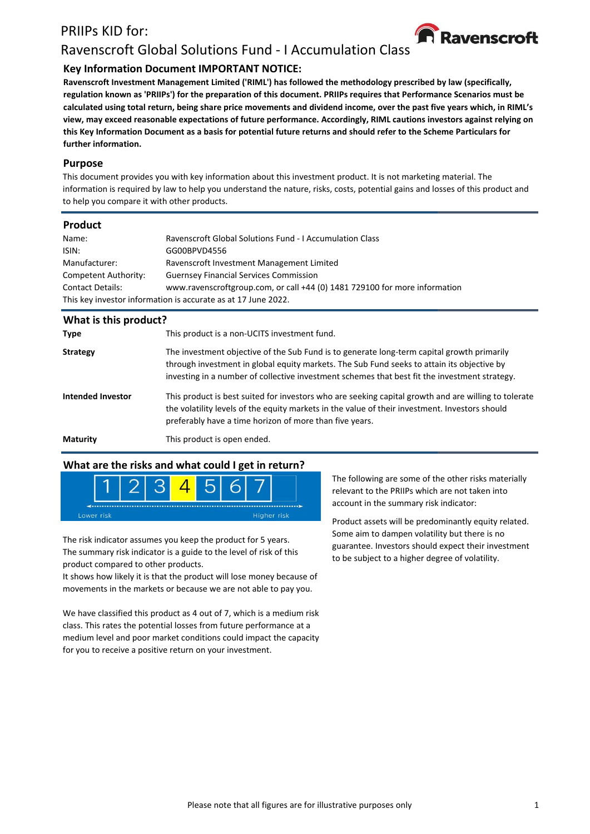# PRIIPs KID for:



# Ravenscroft Global Solutions Fund - I Accumulation Class

# **Key Information Document IMPORTANT NOTICE:**

**Ravenscroft Investment Management Limited ('RIML') has followed the methodology prescribed by law (specifically, regulation known as 'PRIIPs') for the preparation of this document. PRIIPs requires that Performance Scenarios must be calculated using total return, being share price movements and dividend income, over the past five years which, in RIML's view, may exceed reasonable expectations of future performance. Accordingly, RIML cautions investors against relying on this Key Information Document as a basis for potential future returns and should refer to the Scheme Particulars for further information.**

#### **Purpose**

This document provides you with key information about this investment product. It is not marketing material. The information is required by law to help you understand the nature, risks, costs, potential gains and losses of this product and to help you compare it with other products.

#### **Product**

| Name:                                                         | <b>Ravenscroft Global Solutions Fund - I Accumulation Class</b>            |  |  |
|---------------------------------------------------------------|----------------------------------------------------------------------------|--|--|
| ISIN:                                                         | GG00BPVD4556                                                               |  |  |
| Manufacturer:                                                 | Ravenscroft Investment Management Limited                                  |  |  |
| Competent Authority:                                          | <b>Guernsey Financial Services Commission</b>                              |  |  |
| <b>Contact Details:</b>                                       | www.ravenscroftgroup.com, or call +44 (0) 1481 729100 for more information |  |  |
| This key investor information is accurate as at 17 June 2022. |                                                                            |  |  |
|                                                               |                                                                            |  |  |

| What is this product?    |                                                                                                                                                                                                                                                                                           |
|--------------------------|-------------------------------------------------------------------------------------------------------------------------------------------------------------------------------------------------------------------------------------------------------------------------------------------|
| <b>Type</b>              | This product is a non-UCITS investment fund.                                                                                                                                                                                                                                              |
| <b>Strategy</b>          | The investment objective of the Sub Fund is to generate long-term capital growth primarily<br>through investment in global equity markets. The Sub Fund seeks to attain its objective by<br>investing in a number of collective investment schemes that best fit the investment strategy. |
| <b>Intended Investor</b> | This product is best suited for investors who are seeking capital growth and are willing to tolerate<br>the volatility levels of the equity markets in the value of their investment. Investors should<br>preferably have a time horizon of more than five years.                         |
| <b>Maturity</b>          | This product is open ended.                                                                                                                                                                                                                                                               |

## **What are the risks and what could I get in return?**



The risk indicator assumes you keep the product for 5 years. The summary risk indicator is a guide to the level of risk of this product compared to other products.

It shows how likely it is that the product will lose money because of movements in the markets or because we are not able to pay you.

We have classified this product as 4 out of 7, which is a medium risk class. This rates the potential losses from future performance at a medium level and poor market conditions could impact the capacity for you to receive a positive return on your investment.

The following are some of the other risks materially relevant to the PRIIPs which are not taken into account in the summary risk indicator:

Product assets will be predominantly equity related. Some aim to dampen volatility but there is no guarantee. Investors should expect their investment to be subject to a higher degree of volatility.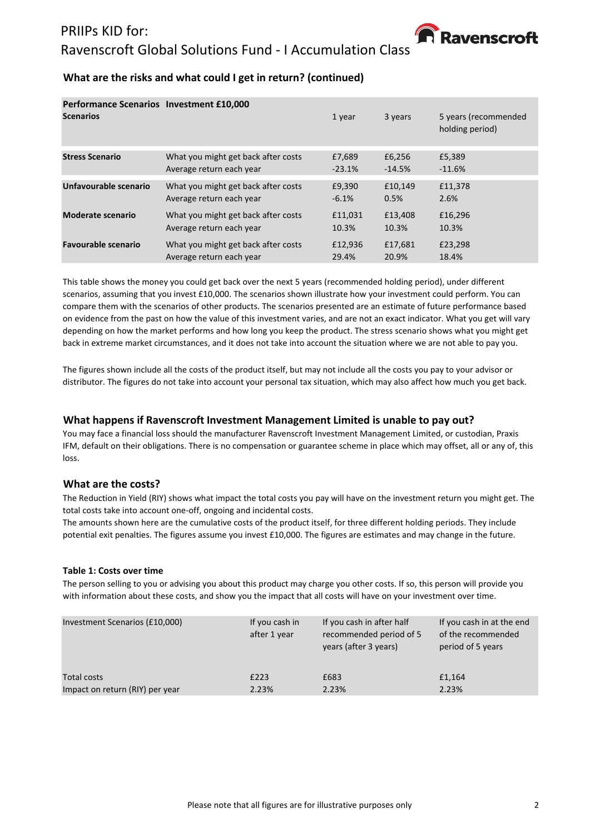

# **What are the risks and what could I get in return? (continued)**

| <b>Performance Scenarios Investment £10,000</b><br><b>Scenarios</b> |                                     | 1 year   | 3 years  | 5 years (recommended<br>holding period) |
|---------------------------------------------------------------------|-------------------------------------|----------|----------|-----------------------------------------|
| <b>Stress Scenario</b>                                              | What you might get back after costs | £7,689   | £6,256   | £5,389                                  |
|                                                                     | Average return each year            | $-23.1%$ | $-14.5%$ | $-11.6%$                                |
| Unfavourable scenario                                               | What you might get back after costs | £9,390   | £10.149  | £11,378                                 |
|                                                                     | Average return each year            | $-6.1%$  | 0.5%     | 2.6%                                    |
| <b>Moderate scenario</b>                                            | What you might get back after costs | £11,031  | £13,408  | £16,296                                 |
|                                                                     | Average return each year            | 10.3%    | 10.3%    | 10.3%                                   |
| <b>Favourable scenario</b>                                          | What you might get back after costs | £12,936  | £17,681  | £23,298                                 |
|                                                                     | Average return each year            | 29.4%    | 20.9%    | 18.4%                                   |

This table shows the money you could get back over the next 5 years (recommended holding period), under different scenarios, assuming that you invest £10,000. The scenarios shown illustrate how your investment could perform. You can compare them with the scenarios of other products. The scenarios presented are an estimate of future performance based on evidence from the past on how the value of this investment varies, and are not an exact indicator. What you get will vary depending on how the market performs and how long you keep the product. The stress scenario shows what you might get back in extreme market circumstances, and it does not take into account the situation where we are not able to pay you.

The figures shown include all the costs of the product itself, but may not include all the costs you pay to your advisor or distributor. The figures do not take into account your personal tax situation, which may also affect how much you get back.

#### **What happens if Ravenscroft Investment Management Limited is unable to pay out?**

You may face a financial loss should the manufacturer Ravenscroft Investment Management Limited, or custodian, Praxis IFM, default on their obligations. There is no compensation or guarantee scheme in place which may offset, all or any of, this loss.

#### **What are the costs?**

The Reduction in Yield (RIY) shows what impact the total costs you pay will have on the investment return you might get. The total costs take into account one-off, ongoing and incidental costs.

The amounts shown here are the cumulative costs of the product itself, for three different holding periods. They include potential exit penalties. The figures assume you invest £10,000. The figures are estimates and may change in the future.

#### **Table 1: Costs over time**

The person selling to you or advising you about this product may charge you other costs. If so, this person will provide you with information about these costs, and show you the impact that all costs will have on your investment over time.

| Investment Scenarios (£10,000)  | If you cash in<br>after 1 year | If you cash in after half<br>recommended period of 5<br>years (after 3 years) | If you cash in at the end<br>of the recommended<br>period of 5 years |
|---------------------------------|--------------------------------|-------------------------------------------------------------------------------|----------------------------------------------------------------------|
| Total costs                     | £223                           | £683                                                                          | £1,164                                                               |
| Impact on return (RIY) per year | 2.23%                          | 2.23%                                                                         | 2.23%                                                                |